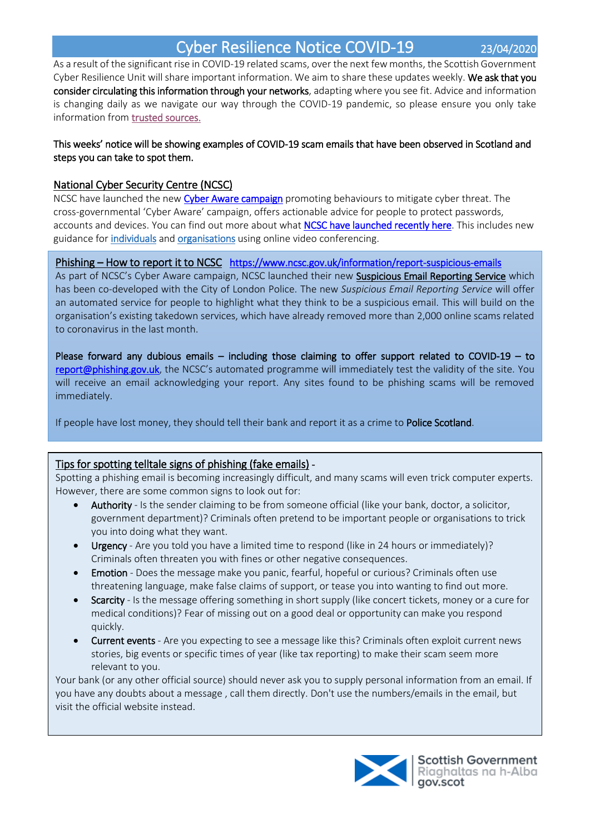# Cyber Resilience Notice COVID-19 23/04/2020

As a result of the significant rise in COVID-19 related scams, over the next few months, the Scottish Government Cyber Resilience Unit will share important information. We aim to share these updates weekly. We ask that you consider circulating this information through your networks, adapting where you see fit. Advice and information is changing daily as we navigate our way through the COVID-19 pandemic, so please ensure you only take information from [trusted sources.](#page-2-0) 

## This weeks' notice will be showing examples of COVID-19 scam emails that have been observed in Scotland and steps you can take to spot them.

# National Cyber Security Centre (NCSC)

NCSC have launched the new Cyber Aware campaign promoting behaviours to mitigate cyber threat. The cross-governmental 'Cyber Aware' campaign, offers actionable advice for people to protect passwords, accounts and devices. You can find out more about what NCSC have launched recently here. This includes new guidance for *individuals* and organisations using online video conferencing.

## Phishing – How to report it to NCSC https://www.ncsc.gov.uk/information/report-suspicious-emails

As part of NCSC's Cyber Aware campaign, NCSC launched their new Suspicious Email Reporting Service which has been co-developed with the City of London Police. The new *Suspicious Email Reporting Service* will offer an automated service for people to highlight what they think to be a suspicious email. This will build on the organisation's existing takedown services, which have already removed more than 2,000 online scams related to coronavirus in the last month.

Please forward any dubious emails – including those claiming to offer support related to COVID-19 – to report@phishing.gov.uk, the NCSC's automated programme will immediately test the validity of the site. You will receive an email acknowledging your report. Any sites found to be phishing scams will be removed immediately.

If people have lost money, they should tell their bank and report it as a crime to Police Scotland.

# Tips for spotting telltale signs of phishing (fake emails) -

Spotting a phishing email is becoming increasingly difficult, and many scams will even trick computer experts. However, there are some common signs to look out for:

- Authority Is the sender claiming to be from someone official (like your bank, doctor, a solicitor, government department)? Criminals often pretend to be important people or organisations to trick you into doing what they want.
- Urgency Are you told you have a limited time to respond (like in 24 hours or immediately)? Criminals often threaten you with fines or other negative consequences.
- Emotion Does the message make you panic, fearful, hopeful or curious? Criminals often use threatening language, make false claims of support, or tease you into wanting to find out more.
- Scarcity Is the message offering something in short supply (like concert tickets, money or a cure for medical conditions)? Fear of missing out on a good deal or opportunity can make you respond quickly.
- Current events Are you expecting to see a message like this? Criminals often exploit current news stories, big events or specific times of year (like tax reporting) to make their scam seem more relevant to you.

Your bank (or any other official source) should never ask you to supply personal information from an email. If you have any doubts about a message , call them directly. Don't use the numbers/emails in the email, but visit the official website instead.

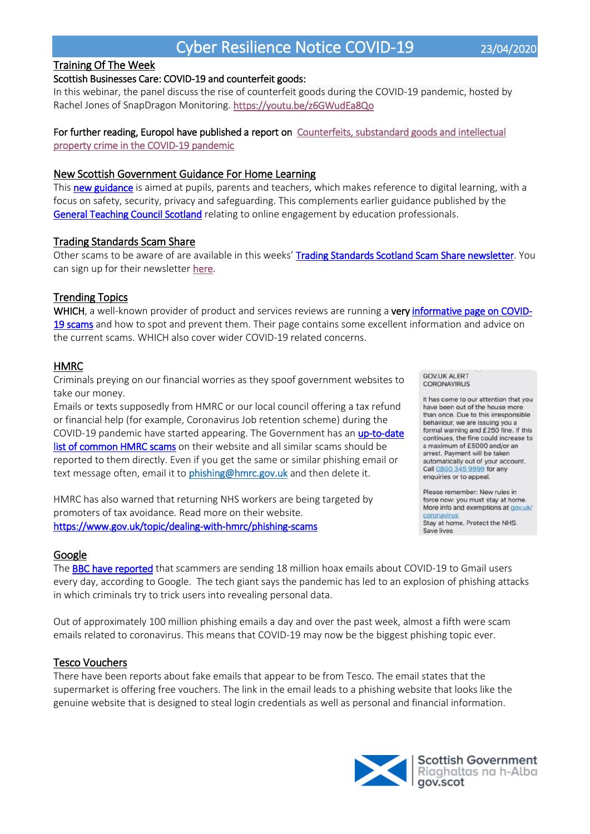# Cyber Resilience Notice COVID-19 23/04/2020

Training Of The Week

#### Scottish Businesses Care: COVID-19 and counterfeit goods:

In this webinar, the panel discuss the rise of counterfeit goods during the COVID-19 pandemic, hosted by Rachel Jones of SnapDragon Monitoring. https://youtu.be/z6GWudEa8Qo

### For further reading, Europol have published a report on Counterfeits, substandard goods and intellectual property crime in the COVID-19 pandemic

#### New Scottish Government Guidance For Home Learning

This new guidance is aimed at pupils, parents and teachers, which makes reference to digital learning, with a focus on safety, security, privacy and safeguarding. This complements earlier guidance published by the General Teaching Council Scotland relating to online engagement by education professionals.

#### Trading Standards Scam Share

Other scams to be aware of are available in this weeks' Trading Standards Scotland Scam Share newsletter. You can sign up for their newsletter here.

#### Trending Topics

WHICH, a well-known provider of product and services reviews are running a very informative page on COVID-19 scams and how to spot and prevent them. Their page contains some excellent information and advice on the current scams. WHICH also cover wider COVID-19 related concerns.

#### HMRC

Criminals preying on our financial worries as they spoof government websites to take our money.

Emails or texts supposedly from HMRC or our local council offering a tax refund or financial help (for example, Coronavirus Job retention scheme) during the COVID-19 pandemic have started appearing. The Government has an up-to-date list of common HMRC scams on their website and all similar scams should be reported to them directly. Even if you get the same or similar phishing email or text message often, email it to phishing@hmrc.gov.uk and then delete it.

HMRC has also warned that returning NHS workers are being targeted by promoters of tax avoidance. Read more on their website. https://www.gov.uk/topic/dealing-with-hmrc/phishing-scams

#### Google

The **BBC have reported** that scammers are sending 18 million hoax emails about COVID-19 to Gmail users every day, according to Google. The tech giant says the pandemic has led to an explosion of phishing attacks in which criminals try to trick users into revealing personal data.

Out of approximately 100 million phishing emails a day and over the past week, almost a fifth were scam emails related to coronavirus. This means that COVID-19 may now be the biggest phishing topic ever.

#### Tesco Vouchers

There have been reports about fake emails that appear to be from Tesco. The email states that the supermarket is offering free vouchers. The link in the email leads to a phishing website that looks like the genuine website that is designed to steal login credentials as well as personal and financial information.

**GOV.UK ALERT** CORONAVIRUS

It has come to our attention that you have been out of the house more than once. Due to this irresponsible behaviour, we are issuing you a formal warning and £250 fine. If this continues, the fine could increase to a maximum of £5000 and/or an arrest. Payment will be taken automatically out of your account. Call 0800 345 9999 for any enquiries or to appeal.

Please remember: New rules in force now: you must stay at home. More info and exemptions at gov.uk/ coronavirus Stay at home. Protect the NHS. Save lives